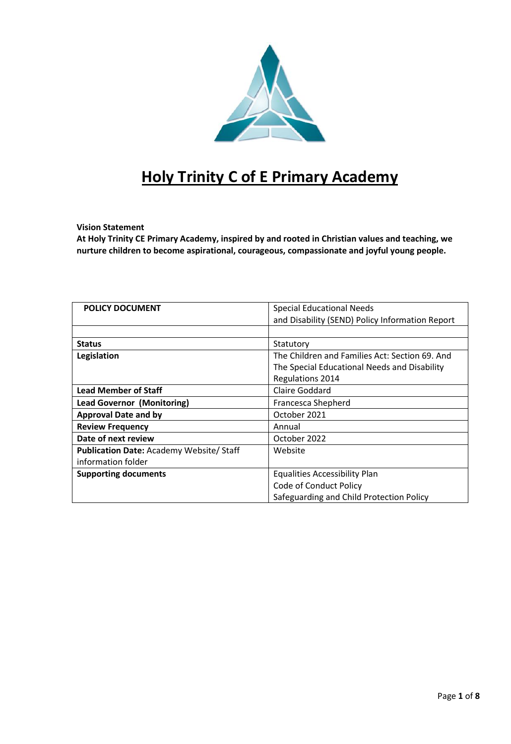

# **Holy Trinity C of E Primary Academy**

# **Vision Statement**

**At Holy Trinity CE Primary Academy, inspired by and rooted in Christian values and teaching, we nurture children to become aspirational, courageous, compassionate and joyful young people.**

| <b>POLICY DOCUMENT</b>                         | <b>Special Educational Needs</b>                |  |
|------------------------------------------------|-------------------------------------------------|--|
|                                                | and Disability (SEND) Policy Information Report |  |
|                                                |                                                 |  |
| <b>Status</b>                                  | Statutory                                       |  |
| Legislation                                    | The Children and Families Act: Section 69, And  |  |
|                                                | The Special Educational Needs and Disability    |  |
|                                                | <b>Regulations 2014</b>                         |  |
| <b>Lead Member of Staff</b>                    | <b>Claire Goddard</b>                           |  |
| <b>Lead Governor (Monitoring)</b>              | Francesca Shepherd                              |  |
| <b>Approval Date and by</b>                    | October 2021                                    |  |
| <b>Review Frequency</b>                        | Annual                                          |  |
| Date of next review                            | October 2022                                    |  |
| <b>Publication Date: Academy Website/Staff</b> | Website                                         |  |
| information folder                             |                                                 |  |
| <b>Supporting documents</b>                    | <b>Equalities Accessibility Plan</b>            |  |
|                                                | Code of Conduct Policy                          |  |
|                                                | Safeguarding and Child Protection Policy        |  |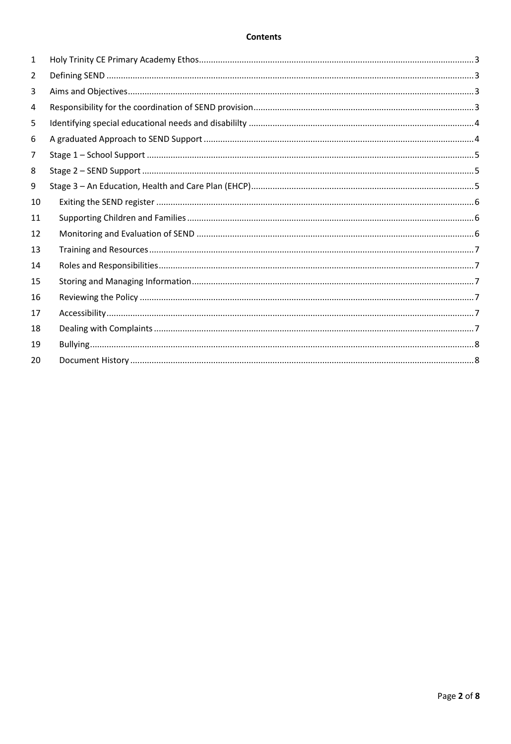#### **Contents**

| 1  |  |
|----|--|
| 2  |  |
| 3  |  |
| 4  |  |
| 5  |  |
| 6  |  |
| 7  |  |
| 8  |  |
| 9  |  |
| 10 |  |
| 11 |  |
| 12 |  |
| 13 |  |
| 14 |  |
| 15 |  |
| 16 |  |
| 17 |  |
| 18 |  |
| 19 |  |
| 20 |  |
|    |  |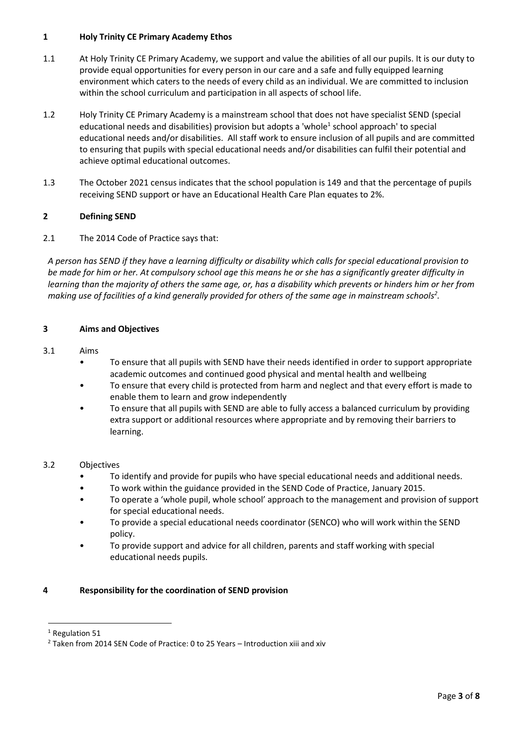# <span id="page-2-0"></span>**1 Holy Trinity CE Primary Academy Ethos**

- 1.1 At Holy Trinity CE Primary Academy, we support and value the abilities of all our pupils. It is our duty to provide equal opportunities for every person in our care and a safe and fully equipped learning environment which caters to the needs of every child as an individual. We are committed to inclusion within the school curriculum and participation in all aspects of school life.
- 1.2 Holy Trinity CE Primary Academy is a mainstream school that does not have specialist SEND (special educational needs and disabilities) provision but adopts a 'whole<sup>1</sup> school approach' to special educational needs and/or disabilities. All staff work to ensure inclusion of all pupils and are committed to ensuring that pupils with special educational needs and/or disabilities can fulfil their potential and achieve optimal educational outcomes.
- 1.3 The October 2021 census indicates that the school population is 149 and that the percentage of pupils receiving SEND support or have an Educational Health Care Plan equates to 2%.

# <span id="page-2-1"></span>**2 Defining SEND**

# 2.1 The 2014 Code of Practice says that:

*A person has SEND if they have a learning difficulty or disability which calls for special educational provision to be made for him or her. At compulsory school age this means he or she has a significantly greater difficulty in learning than the majority of others the same age, or, has a disability which prevents or hinders him or her from making use of facilities of a kind generally provided for others of the same age in mainstream schools<sup>2</sup> .* 

# <span id="page-2-2"></span>**3 Aims and Objectives**

# 3.1 Aims

- To ensure that all pupils with SEND have their needs identified in order to support appropriate academic outcomes and continued good physical and mental health and wellbeing
- To ensure that every child is protected from harm and neglect and that every effort is made to enable them to learn and grow independently
- To ensure that all pupils with SEND are able to fully access a balanced curriculum by providing extra support or additional resources where appropriate and by removing their barriers to learning.

# 3.2 Objectives

- To identify and provide for pupils who have special educational needs and additional needs.
- To work within the guidance provided in the SEND Code of Practice, January 2015.
- To operate a 'whole pupil, whole school' approach to the management and provision of support for special educational needs.
- To provide a special educational needs coordinator (SENCO) who will work within the SEND policy.
- To provide support and advice for all children, parents and staff working with special educational needs pupils.

# <span id="page-2-3"></span>**4 Responsibility for the coordination of SEND provision**

 $\ddot{\phantom{a}}$ 

<sup>&</sup>lt;sup>1</sup> Regulation 51

<sup>&</sup>lt;sup>2</sup> Taken from 2014 SEN Code of Practice: 0 to 25 Years - Introduction xiii and xiv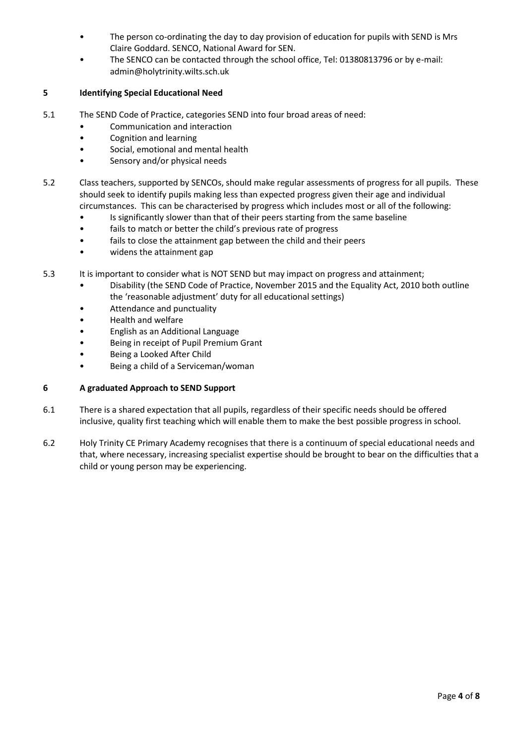- The person co-ordinating the day to day provision of education for pupils with SEND is Mrs Claire Goddard. SENCO, National Award for SEN.
- The SENCO can be contacted through the school office, Tel: 01380813796 or by e-mail: admin@holytrinity.wilts.sch.uk

# <span id="page-3-0"></span>**5 Identifying Special Educational Need**

- 5.1 The SEND Code of Practice, categories SEND into four broad areas of need:
	- Communication and interaction
	- Cognition and learning
	- Social, emotional and mental health
	- Sensory and/or physical needs
- 5.2 Class teachers, supported by SENCOs, should make regular assessments of progress for all pupils. These should seek to identify pupils making less than expected progress given their age and individual circumstances. This can be characterised by progress which includes most or all of the following:
	- Is significantly slower than that of their peers starting from the same baseline
	- fails to match or better the child's previous rate of progress
	- fails to close the attainment gap between the child and their peers
	- widens the attainment gap
- 5.3 It is important to consider what is NOT SEND but may impact on progress and attainment;
	- Disability (the SEND Code of Practice, November 2015 and the Equality Act, 2010 both outline the 'reasonable adjustment' duty for all educational settings)
	- Attendance and punctuality
	- Health and welfare
	- English as an Additional Language
	- Being in receipt of Pupil Premium Grant
	- Being a Looked After Child
	- Being a child of a Serviceman/woman

# <span id="page-3-1"></span>**6 A graduated Approach to SEND Support**

- 6.1 There is a shared expectation that all pupils, regardless of their specific needs should be offered inclusive, quality first teaching which will enable them to make the best possible progress in school.
- 6.2 Holy Trinity CE Primary Academy recognises that there is a continuum of special educational needs and that, where necessary, increasing specialist expertise should be brought to bear on the difficulties that a child or young person may be experiencing.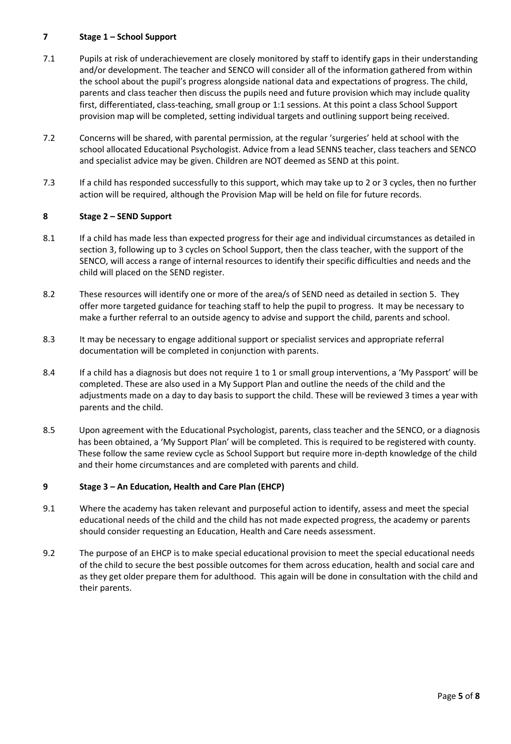# <span id="page-4-0"></span>**7 Stage 1 – School Support**

- 7.1 Pupils at risk of underachievement are closely monitored by staff to identify gaps in their understanding and/or development. The teacher and SENCO will consider all of the information gathered from within the school about the pupil's progress alongside national data and expectations of progress. The child, parents and class teacher then discuss the pupils need and future provision which may include quality first, differentiated, class-teaching, small group or 1:1 sessions. At this point a class School Support provision map will be completed, setting individual targets and outlining support being received.
- 7.2 Concerns will be shared, with parental permission, at the regular 'surgeries' held at school with the school allocated Educational Psychologist. Advice from a lead SENNS teacher, class teachers and SENCO and specialist advice may be given. Children are NOT deemed as SEND at this point.
- 7.3 If a child has responded successfully to this support, which may take up to 2 or 3 cycles, then no further action will be required, although the Provision Map will be held on file for future records.

# <span id="page-4-1"></span>**8 Stage 2 – SEND Support**

- 8.1 If a child has made less than expected progress for their age and individual circumstances as detailed in section 3, following up to 3 cycles on School Support, then the class teacher, with the support of the SENCO, will access a range of internal resources to identify their specific difficulties and needs and the child will placed on the SEND register.
- 8.2 These resources will identify one or more of the area/s of SEND need as detailed in section 5. They offer more targeted guidance for teaching staff to help the pupil to progress. It may be necessary to make a further referral to an outside agency to advise and support the child, parents and school.
- 8.3 It may be necessary to engage additional support or specialist services and appropriate referral documentation will be completed in conjunction with parents.
- 8.4 If a child has a diagnosis but does not require 1 to 1 or small group interventions, a 'My Passport' will be completed. These are also used in a My Support Plan and outline the needs of the child and the adjustments made on a day to day basis to support the child. These will be reviewed 3 times a year with parents and the child.
- 8.5 Upon agreement with the Educational Psychologist, parents, class teacher and the SENCO, or a diagnosis has been obtained, a 'My Support Plan' will be completed. This is required to be registered with county. These follow the same review cycle as School Support but require more in-depth knowledge of the child and their home circumstances and are completed with parents and child.

# <span id="page-4-2"></span>**9 Stage 3 – An Education, Health and Care Plan (EHCP)**

- 9.1 Where the academy has taken relevant and purposeful action to identify, assess and meet the special educational needs of the child and the child has not made expected progress, the academy or parents should consider requesting an Education, Health and Care needs assessment.
- 9.2 The purpose of an EHCP is to make special educational provision to meet the special educational needs of the child to secure the best possible outcomes for them across education, health and social care and as they get older prepare them for adulthood. This again will be done in consultation with the child and their parents.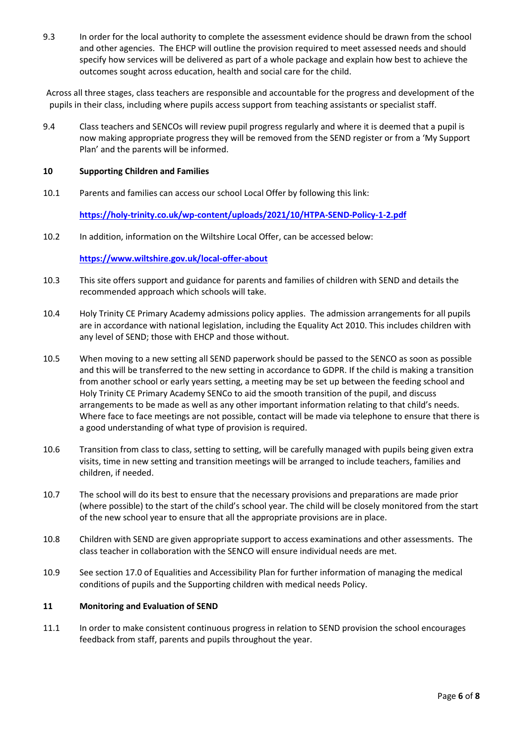9.3 In order for the local authority to complete the assessment evidence should be drawn from the school and other agencies. The EHCP will outline the provision required to meet assessed needs and should specify how services will be delivered as part of a whole package and explain how best to achieve the outcomes sought across education, health and social care for the child.

<span id="page-5-0"></span>Across all three stages, class teachers are responsible and accountable for the progress and development of the pupils in their class, including where pupils access support from teaching assistants or specialist staff.

9.4 Class teachers and SENCOs will review pupil progress regularly and where it is deemed that a pupil is now making appropriate progress they will be removed from the SEND register or from a 'My Support Plan' and the parents will be informed.

#### <span id="page-5-1"></span>**10 Supporting Children and Families**

10.1 Parents and families can access our school Local Offer by following this link:

**<https://holy-trinity.co.uk/wp-content/uploads/2021/10/HTPA-SEND-Policy-1-2.pdf>**

10.2 In addition, information on the Wiltshire Local Offer, can be accessed below:

#### **<https://www.wiltshire.gov.uk/local-offer-about>**

- 10.3 This site offers support and guidance for parents and families of children with SEND and details the recommended approach which schools will take.
- 10.4 Holy Trinity CE Primary Academy admissions policy applies. The admission arrangements for all pupils are in accordance with national legislation, including the Equality Act 2010. This includes children with any level of SEND; those with EHCP and those without.
- 10.5 When moving to a new setting all SEND paperwork should be passed to the SENCO as soon as possible and this will be transferred to the new setting in accordance to GDPR. If the child is making a transition from another school or early years setting, a meeting may be set up between the feeding school and Holy Trinity CE Primary Academy SENCo to aid the smooth transition of the pupil, and discuss arrangements to be made as well as any other important information relating to that child's needs. Where face to face meetings are not possible, contact will be made via telephone to ensure that there is a good understanding of what type of provision is required.
- 10.6 Transition from class to class, setting to setting, will be carefully managed with pupils being given extra visits, time in new setting and transition meetings will be arranged to include teachers, families and children, if needed.
- 10.7 The school will do its best to ensure that the necessary provisions and preparations are made prior (where possible) to the start of the child's school year. The child will be closely monitored from the start of the new school year to ensure that all the appropriate provisions are in place.
- 10.8 Children with SEND are given appropriate support to access examinations and other assessments. The class teacher in collaboration with the SENCO will ensure individual needs are met.
- 10.9 See section 17.0 of Equalities and Accessibility Plan for further information of managing the medical conditions of pupils and the Supporting children with medical needs Policy.

# <span id="page-5-2"></span>**11 Monitoring and Evaluation of SEND**

11.1 In order to make consistent continuous progress in relation to SEND provision the school encourages feedback from staff, parents and pupils throughout the year.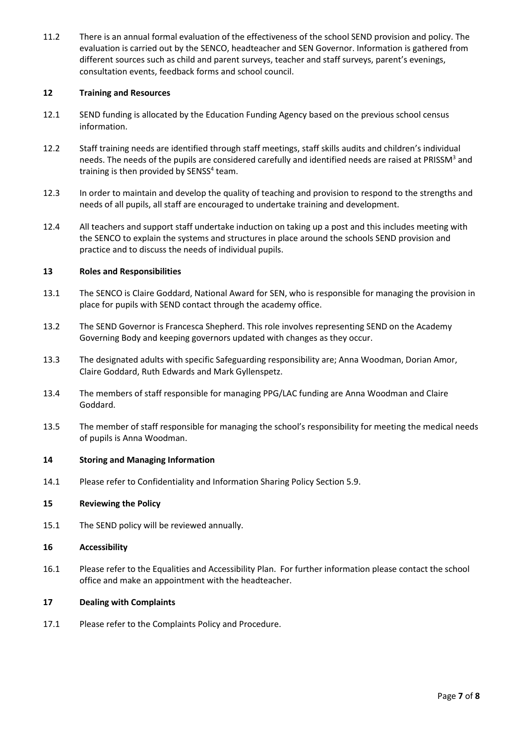11.2 There is an annual formal evaluation of the effectiveness of the school SEND provision and policy. The evaluation is carried out by the SENCO, headteacher and SEN Governor. Information is gathered from different sources such as child and parent surveys, teacher and staff surveys, parent's evenings, consultation events, feedback forms and school council.

#### <span id="page-6-0"></span>**12 Training and Resources**

- 12.1 SEND funding is allocated by the Education Funding Agency based on the previous school census information.
- 12.2 Staff training needs are identified through staff meetings, staff skills audits and children's individual needs. The needs of the pupils are considered carefully and identified needs are raised at PRISSM<sup>3</sup> and training is then provided by SENSS<sup>4</sup> team.
- 12.3 In order to maintain and develop the quality of teaching and provision to respond to the strengths and needs of all pupils, all staff are encouraged to undertake training and development.
- 12.4 All teachers and support staff undertake induction on taking up a post and this includes meeting with the SENCO to explain the systems and structures in place around the schools SEND provision and practice and to discuss the needs of individual pupils.

#### <span id="page-6-1"></span>**13 Roles and Responsibilities**

- 13.1 The SENCO is Claire Goddard, National Award for SEN, who is responsible for managing the provision in place for pupils with SEND contact through the academy office.
- 13.2 The SEND Governor is Francesca Shepherd. This role involves representing SEND on the Academy Governing Body and keeping governors updated with changes as they occur.
- 13.3 The designated adults with specific Safeguarding responsibility are; Anna Woodman, Dorian Amor, Claire Goddard, Ruth Edwards and Mark Gyllenspetz.
- 13.4 The members of staff responsible for managing PPG/LAC funding are Anna Woodman and Claire Goddard.
- 13.5 The member of staff responsible for managing the school's responsibility for meeting the medical needs of pupils is Anna Woodman.

#### <span id="page-6-2"></span>**14 Storing and Managing Information**

<span id="page-6-3"></span>14.1 Please refer to Confidentiality and Information Sharing Policy Section 5.9.

#### **15 Reviewing the Policy**

<span id="page-6-4"></span>15.1 The SEND policy will be reviewed annually.

#### **16 Accessibility**

16.1 Please refer to the Equalities and Accessibility Plan. For further information please contact the school office and make an appointment with the headteacher.

#### <span id="page-6-5"></span>**17 Dealing with Complaints**

17.1 Please refer to the Complaints Policy and Procedure.